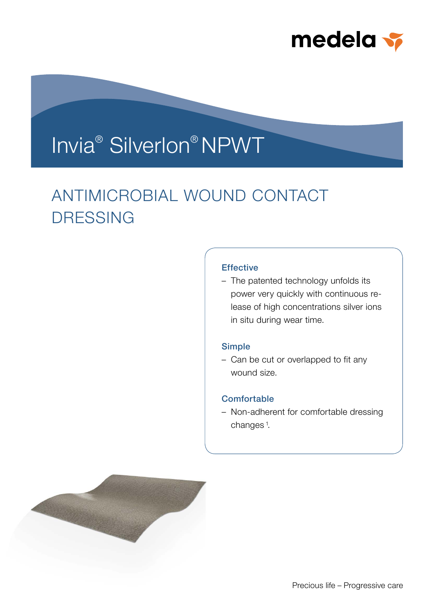

# Invia® Silverlon® NPWT

## ANTIMICROBIAL WOUND CONTACT DRESSING

## **Effective**

– The patented technology unfolds its power very quickly with continuous release of high concentrations silver ions in situ during wear time.

#### Simple

– Can be cut or overlapped to fit any wound size.

## **Comfortable**

– Non-adherent for comfortable dressing changes<sup>1</sup>.